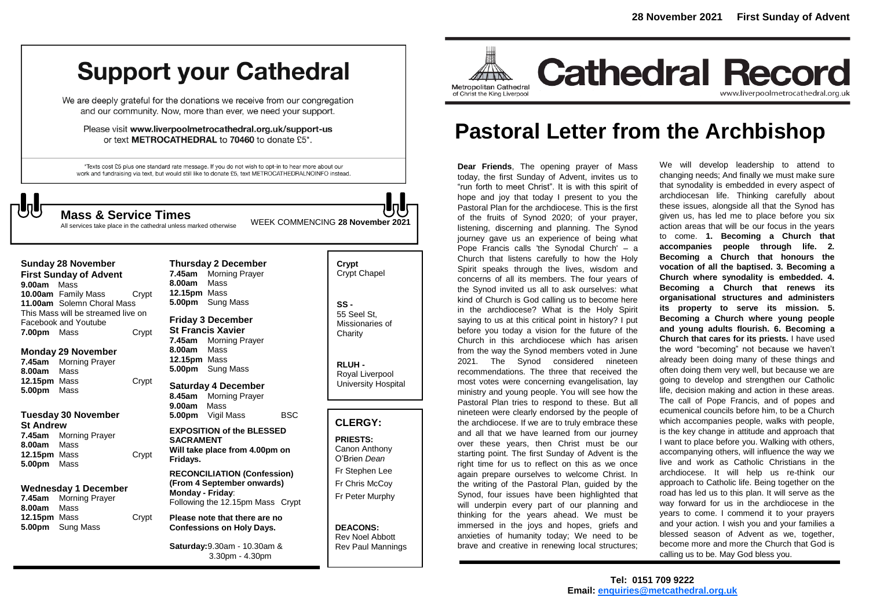# **Support your Cathedral**

We are deeply grateful for the donations we receive from our congregation and our community. Now, more than ever, we need your support.

Please visit www.liverpoolmetrocathedral.org.uk/support-us or text METROCATHEDRAL to 70460 to donate £5\*.

\*Texts cost £5 plus one standard rate message. If you do not wish to opt-in to hear more about our work and fundraising via text, but would still like to donate £5, text METROCATHEDRALNOINFO instead.

WEEK COMMENCING **<sup>28</sup> November 2021 Mass & Service Times**

All services take place in the cathedral unless marked otherwise

#### **Sunday 28 November First Sunday of Advent**

**9.00am** Mass **10.00am** Family Mass Crypt **11.00am** Solemn Choral Mass This Mass will be streamed live on Facebook and Youtube **7.00pm** Mass Crypt

#### **Monday 29 November**

**7.45am** Morning Prayer **8.00am** Mass **12.15pm** Mass Crypt **5.00pm** Mass

#### **Tuesday 30 November St Andrew**

**7.45am** Morning Prayer **8.00am** Mass 12.15pm Mass Crypt **5.00pm** Mass

#### **Wednesday 1 December**

**7.45am** Morning Prayer **8.00am** Mass **12.15pm** Mass Crypt **5.00pm** Sung Mass

#### **Thursday 2 December 7.45am** Morning Prayer **8.00am** Mass **12.15pm** Mass **5.00pm** Sung Mass **Friday 3 December**

**St Francis Xavier 7.45am** Morning Prayer **8.00am** Mass **12.15pm** Mass **5.00pm** Sung Mass

**Saturday 4 December 8.45am** Morning Prayer **9.00am** Mass **5.00pm** Vigil Mass BSC

#### **EXPOSITION of the BLESSED SACRAMENT Will take place from 4.00pm on Fridays.**

**RECONCILIATION (Confession) (From 4 September onwards) Monday - Friday**: Following the 12.15pm Mass Crypt

#### **Please note that there are no Confessions on Holy Days.**

**Saturday:**9.30am - 10.30am & 3.30pm - 4.30pm

## **Crypt**  Crypt Chapel **SS -** 55 Seel St, Missionaries of **Charity RLUH -** Royal Liverpool University Hospital **CLERGY: PRIESTS:** Canon Anthony O'Brien *Dean*

Fr Stephen Lee Fr Chris McCoy Fr Peter Murphy

#### **DEACONS:** Rev Noel Abbott Rev Paul Mannings



## **Pastoral Letter from the Archbishop**

**Dear Friends**, The opening prayer of Mass today, the first Sunday of Advent, invites us to "run forth to meet Christ". It is with this spirit of hope and joy that today I present to you the Pastoral Plan for the archdiocese. This is the first of the fruits of Synod 2020; of your prayer, listening, discerning and planning. The Synod journey gave us an experience of being what Pope Francis calls 'the Synodal Church' – a Church that listens carefully to how the Holy Spirit speaks through the lives, wisdom and concerns of all its members. The four years of the Synod invited us all to ask ourselves: what kind of Church is God calling us to become here in the archdiocese? What is the Holy Spirit saying to us at this critical point in history? I put before you today a vision for the future of the Church in this archdiocese which has arisen from the way the Synod members voted in June 2021. The Synod considered nineteen recommendations. The three that received the most votes were concerning evangelisation, lay ministry and young people. You will see how the Pastoral Plan tries to respond to these. But all nineteen were clearly endorsed by the people of the archdiocese. If we are to truly embrace these and all that we have learned from our journey over these years, then Christ must be our starting point. The first Sunday of Advent is the right time for us to reflect on this as we once again prepare ourselves to welcome Christ. In the writing of the Pastoral Plan, guided by the Synod, four issues have been highlighted that will underpin every part of our planning and thinking for the years ahead. We must be immersed in the joys and hopes, griefs and anxieties of humanity today; We need to be brave and creative in renewing local structures; " run forth to meet Christ". It is with this spirit of hope and joy that today I present to you the Pastoral Plan for the archdiocese. This is the first

We will develop leadership to attend to changing needs; And finally we must make sure that synodality is embedded in every aspect of archdiocesan life. Thinking carefully about these issues, alongside all that the Synod has given us, has led me to place before you six action areas that will be our focus in the years to come. **1. Becoming a Church that accompanies people through life. 2. Becoming a Church that honours the vocation of all the baptised. 3. Becoming a Church where synodality is embedded. 4. Becoming a Church that renews its organisational structures and administers its property to serve its mission. 5. Becoming a Church where young people and young adults flourish. 6. Becoming a Church that cares for its priests.** I have used the word "becoming" not because we haven't already been doing many of these things and often doing them very well, but because we are going to develop and strengthen our Catholic life, decision making and action in these areas. The call of Pope Francis, and of popes and ecumenical councils before him, to be a Church which accompanies people, walks with people, is the key change in attitude and approach that I want to place before you. Walking with others, accompanying others, will influence the way we live and work as Catholic Christians in the archdiocese. It will help us re-think our approach to Catholic life. Being together on the road has led us to this plan. It will serve as the way forward for us in the archdiocese in the years to come. I commend it to your prayers and your action. I wish you and your families a blessed season of Advent as we, together, become more and more the Church that God is calling us to be. May God bless you.